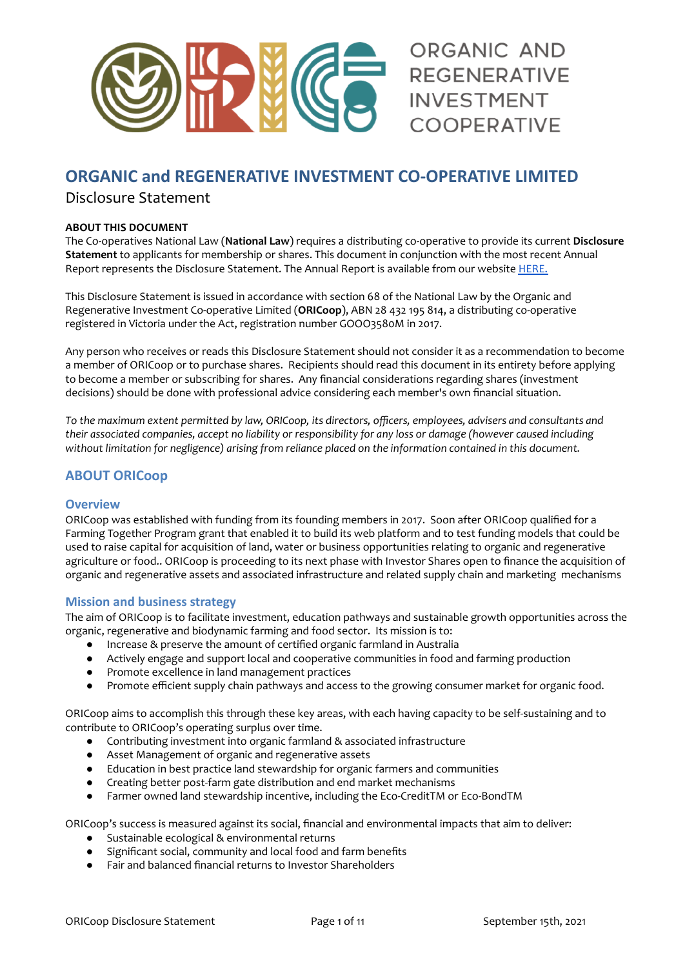

# **ORGANIC and REGENERATIVE INVESTMENT CO-OPERATIVE LIMITED**

# Disclosure Statement

#### **ABOUT THIS DOCUMENT**

The Co-operatives National Law (**National Law**) requires a distributing co-operative to provide its current **Disclosure Statement** to applicants for membership or shares. This document in conjunction with the most recent Annual Report represents the Disclosure Statement. The Annual Report is available from our website [HERE.](https://www.organicinvestmentcooperative.com.au/)

This Disclosure Statement is issued in accordance with section 68 of the National Law by the Organic and Regenerative Investment Co-operative Limited (**ORICoop**), ABN 28 432 195 814, a distributing co-operative registered in Victoria under the Act, registration number GOOO3580M in 2017.

Any person who receives or reads this Disclosure Statement should not consider it as a recommendation to become a member of ORICoop or to purchase shares. Recipients should read this document in its entirety before applying to become a member or subscribing for shares. Any financial considerations regarding shares (investment decisions) should be done with professional advice considering each member's own financial situation.

To the maximum extent permitted by law, ORICoop, its directors, officers, employees, advisers and consultants and their associated companies, accept no liability or responsibility for any loss or damage (however caused including *without limitation for negligence) arising from reliance placed on the information contained in this document.*

# **ABOUT ORICoop**

# **Overview**

ORICoop was established with funding from its founding members in 2017. Soon after ORICoop qualified for a Farming Together Program grant that enabled it to build its web platform and to test funding models that could be used to raise capital for acquisition of land, water or business opportunities relating to organic and regenerative agriculture or food.. ORICoop is proceeding to its next phase with Investor Shares open to finance the acquisition of organic and regenerative assets and associated infrastructure and related supply chain and marketing mechanisms

# **Mission and business strategy**

The aim of ORICoop is to facilitate investment, education pathways and sustainable growth opportunities across the organic, regenerative and biodynamic farming and food sector. Its mission is to:

- Increase & preserve the amount of certified organic farmland in Australia
- Actively engage and support local and cooperative communities in food and farming production
- Promote excellence in land management practices
- Promote efficient supply chain pathways and access to the growing consumer market for organic food.

ORICoop aims to accomplish this through these key areas, with each having capacity to be self-sustaining and to contribute to ORICoop's operating surplus over time.

- Contributing investment into organic farmland & associated infrastructure
- Asset Management of organic and regenerative assets
- Education in best practice land stewardship for organic farmers and communities
- Creating better post-farm gate distribution and end market mechanisms
- Farmer owned land stewardship incentive, including the Eco-CreditTM or Eco-BondTM

ORICoop's success is measured against its social, financial and environmental impacts that aim to deliver:

- Sustainable ecological & environmental returns
- Significant social, community and local food and farm benefits
- Fair and balanced financial returns to Investor Shareholders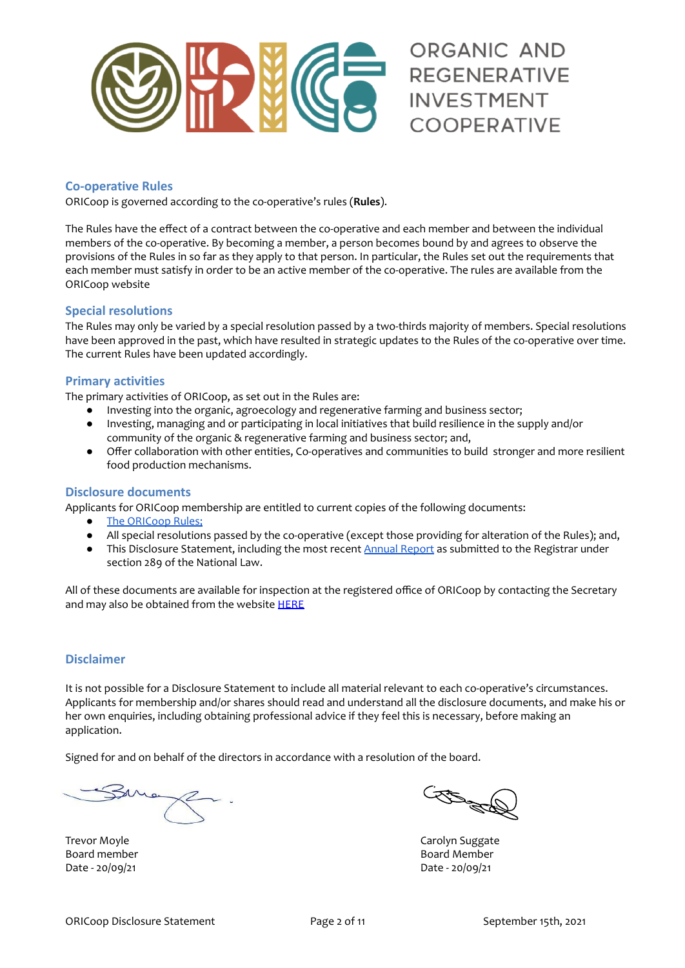

# **Co-operative Rules**

ORICoop is governed according to the co-operative's rules (**Rules**).

The Rules have the effect of a contract between the co-operative and each member and between the individual members of the co-operative. By becoming a member, a person becomes bound by and agrees to observe the provisions of the Rules in so far as they apply to that person. In particular, the Rules set out the requirements that each member must satisfy in order to be an active member of the co-operative. The rules are available from the [ORICoop](https://www.organicinvestmentcooperative.com.au/) website

# **Special resolutions**

The Rules may only be varied by a special resolution passed by a two-thirds majority of members. Special resolutions have been approved in the past, which have resulted in strategic updates to the Rules of the co-operative over time. The current Rules have been updated accordingly.

# **Primary activities**

The primary activities of ORICoop, as set out in the Rules are:

- Investing into the organic, agroecology and regenerative farming and business sector;
- Investing, managing and or participating in local initiatives that build resilience in the supply and/or community of the organic & regenerative farming and business sector; and,
- Offer collaboration with other entities, Co-operatives and communities to build stronger and more resilient food production mechanisms.

#### **Disclosure documents**

Applicants for ORICoop membership are entitled to current copies of the following documents:

- The [ORICoop](https://www.organicinvestmentcooperative.com.au/) Rules;<br>● All special resolution
- All special resolutions passed by the co-operative (except those providing for alteration of the Rules); and,
- This Disclosure Statement, including the most recent Annual [Report](https://www.organicinvestmentcooperative.com.au/) as submitted to the Registrar under section 289 of the National Law.

All of these documents are available for inspection at the registered office of ORICoop by contacting the Secretary and may also be obtained from the website **[HERE](https://organicinvestmentcooperative.com.au/membership/)** 

# **Disclaimer**

It is not possible for a Disclosure Statement to include all material relevant to each co-operative's circumstances. Applicants for membership and/or shares should read and understand all the disclosure documents, and make his or her own enquiries, including obtaining professional advice if they feel this is necessary, before making an application.

Signed for and on behalf of the directors in accordance with a resolution of the board.

Trevor Moyle **Carolyn Suggate** Date - 20/09/21 Date - 20/09/21

Contractor

Board member Board Member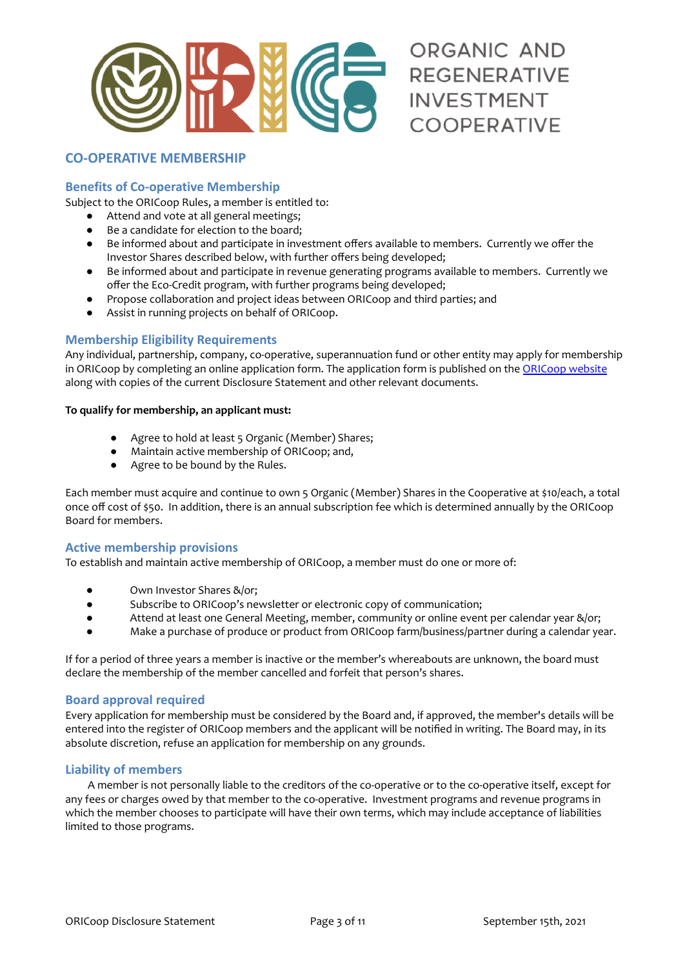

# ORGANIC AND **REGENERATIVE INVESTMENT COOPERATIVE**

# **CO-OPERATIVE MEMBERSHIP**

# **Benefits of Co-operative Membership**

Subject to the ORICoop Rules, a member is entitled to:

- Attend and vote at all general meetings;
- Be a candidate for election to the board;
- Be informed about and participate in investment offers available to members. Currently we offer the Investor Shares described below, with further offers being developed;
- Be informed about and participate in revenue generating programs available to members. Currently we offer the Eco-Credit program, with further programs being developed;
- Propose collaboration and project ideas between ORICoop and third parties; and
- Assist in running projects on behalf of ORICoop.

# **Membership Eligibility Requirements**

Any individual, partnership, company, co-operative, superannuation fund or other entity may apply for membership in ORICoop by completing an online application form. The application form is published on the [ORICoop](https://www.organicinvestmentcooperative.com.au/membership/) website along with copies of the current Disclosure Statement and other relevant documents.

#### **To qualify for membership, an applicant must:**

- Agree to hold at least 5 Organic (Member) Shares;
- Maintain active membership of ORICoop; and,
- Agree to be bound by the Rules.

Each member must acquire and continue to own 5 Organic (Member) Shares in the Cooperative at \$10/each, a total once off cost of \$50. In addition, there is an annual subscription fee which is determined annually by the ORICoop Board for members.

#### **Active membership provisions**

To establish and maintain active membership of ORICoop, a member must do one or more of:

- Own Investor Shares &/or;
- Subscribe to ORICoop's newsletter or electronic copy of communication;
- Attend at least one General Meeting, member, community or online event per calendar year &/or;
- Make a purchase of produce or product from ORICoop farm/business/partner during a calendar year.

If for a period of three years a member is inactive or the member's whereabouts are unknown, the board must declare the membership of the member cancelled and forfeit that person's shares.

#### **Board approval required**

Every application for membership must be considered by the Board and, if approved, the member's details will be entered into the register of ORICoop members and the applicant will be notified in writing. The Board may, in its absolute discretion, refuse an application for membership on any grounds.

# **Liability of members**

A member is not personally liable to the creditors of the co-operative or to the co-operative itself, except for any fees or charges owed by that member to the co-operative. Investment programs and revenue programs in which the member chooses to participate will have their own terms, which may include acceptance of liabilities limited to those programs.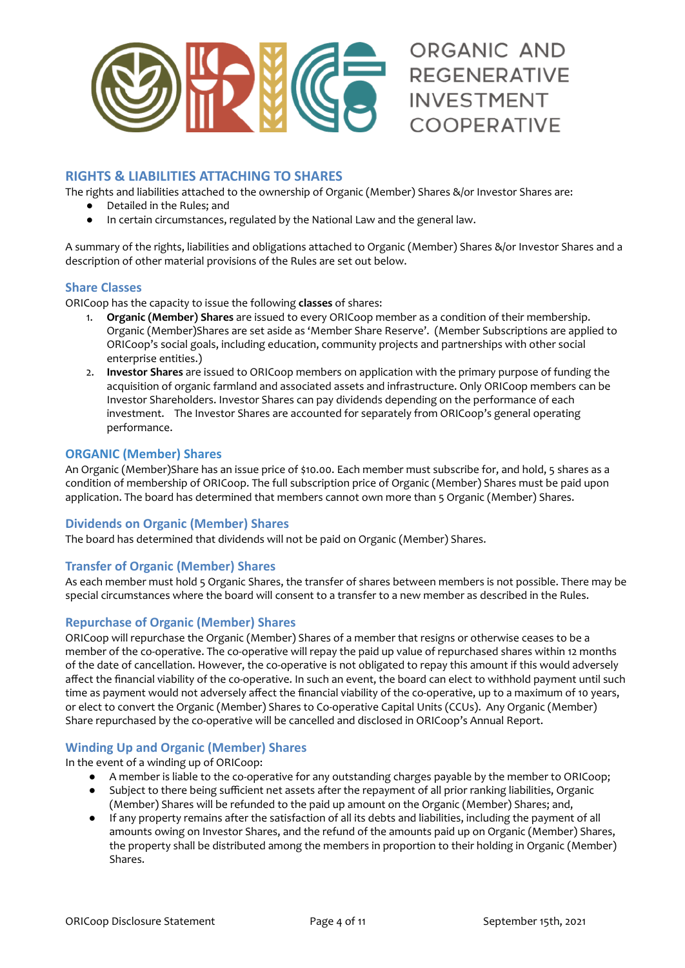

# **RIGHTS & LIABILITIES ATTACHING TO SHARES**

The rights and liabilities attached to the ownership of Organic (Member) Shares &/or Investor Shares are:

- Detailed in the Rules; and
- In certain circumstances, regulated by the National Law and the general law.

A summary of the rights, liabilities and obligations attached to Organic (Member) Shares &/or Investor Shares and a description of other material provisions of the Rules are set out below.

#### **Share Classes**

ORICoop has the capacity to issue the following **classes** of shares:

- 1. **Organic (Member) Shares** are issued to every ORICoop member as a condition of their membership. Organic (Member)Shares are set aside as 'Member Share Reserve'. (Member Subscriptions are applied to ORICoop's social goals, including education, community projects and partnerships with other social enterprise entities.)
- 2. **Investor Shares** are issued to ORICoop members on application with the primary purpose of funding the acquisition of organic farmland and associated assets and infrastructure. Only ORICoop members can be Investor Shareholders. Investor Shares can pay dividends depending on the performance of each investment. The Investor Shares are accounted for separately from ORICoop's general operating performance.

# **ORGANIC (Member) Shares**

An Organic (Member)Share has an issue price of \$10.00. Each member must subscribe for, and hold, 5 shares as a condition of membership of ORICoop. The full subscription price of Organic (Member) Shares must be paid upon application. The board has determined that members cannot own more than 5 Organic (Member) Shares.

# **Dividends on Organic (Member) Shares**

The board has determined that dividends will not be paid on Organic (Member) Shares.

#### **Transfer of Organic (Member) Shares**

As each member must hold 5 Organic Shares, the transfer of shares between members is not possible. There may be special circumstances where the board will consent to a transfer to a new member as described in the Rules.

#### **Repurchase of Organic (Member) Shares**

ORICoop will repurchase the Organic (Member) Shares of a member that resigns or otherwise ceases to be a member of the co-operative. The co-operative will repay the paid up value of repurchased shares within 12 months of the date of cancellation. However, the co-operative is not obligated to repay this amount if this would adversely affect the financial viability of the co-operative. In such an event, the board can elect to withhold payment until such time as payment would not adversely affect the financial viability of the co-operative, up to a maximum of 10 years, or elect to convert the Organic (Member) Shares to Co-operative Capital Units (CCUs). Any Organic (Member) Share repurchased by the co-operative will be cancelled and disclosed in ORICoop's Annual Report.

#### **Winding Up and Organic (Member) Shares**

In the event of a winding up of ORICoop:

- A member is liable to the co-operative for any outstanding charges payable by the member to ORICoop; ● Subject to there being sufficient net assets after the repayment of all prior ranking liabilities, Organic
- (Member) Shares will be refunded to the paid up amount on the Organic (Member) Shares; and,
- If any property remains after the satisfaction of all its debts and liabilities, including the payment of all amounts owing on Investor Shares, and the refund of the amounts paid up on Organic (Member) Shares, the property shall be distributed among the members in proportion to their holding in Organic (Member) Shares.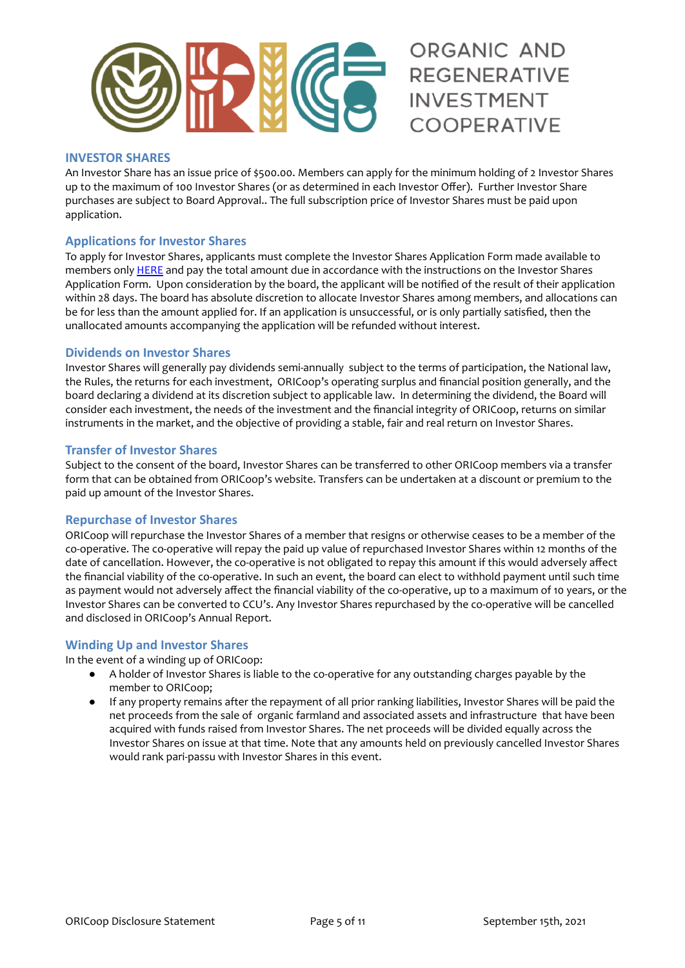

# ORGANIC AND **REGENERATIVE INVESTMENT COOPERATIVE**

# **INVESTOR SHARES**

An Investor Share has an issue price of \$500.00. Members can apply for the minimum holding of 2 Investor Shares up to the maximum of 100 Investor Shares (or as determined in each Investor Offer). Further Investor Share purchases are subject to Board Approval.. The full subscription price of Investor Shares must be paid upon application.

# **Applications for Investor Shares**

To apply for Investor Shares, applicants must complete the Investor Shares Application Form made available to members only [HERE](https://drive.google.com/open?id=1lwUxou0T0_qOCy6wAVdjwb4VzBcAo1cc) and pay the total amount due in accordance with the instructions on the Investor Shares Application Form. Upon consideration by the board, the applicant will be notified of the result of their application within 28 days. The board has absolute discretion to allocate Investor Shares among members, and allocations can be for less than the amount applied for. If an application is unsuccessful, or is only partially satisfied, then the unallocated amounts accompanying the application will be refunded without interest.

#### **Dividends on Investor Shares**

Investor Shares will generally pay dividends semi-annually subject to the terms of participation, the National law, the Rules, the returns for each investment, ORICoop's operating surplus and financial position generally, and the board declaring a dividend at its discretion subject to applicable la[w.](http://www5.austlii.edu.au/au/legis/nsw/consol_reg/cnr344/s3.19.html) In determining the dividend, the Board will consider each investment, the needs of the investment and the financial integrity of ORICoop, returns on similar instruments in the market, and the objective of providing a stable, fair and real return on Investor Shares.

#### **Transfer of Investor Shares**

Subject to the consent of the board, Investor Shares can be transferred to other ORICoop members via a transfer form that can be obtained from ORICoop's website. Transfers can be undertaken at a discount or premium to the paid up amount of the Investor Shares.

#### **Repurchase of Investor Shares**

ORICoop will repurchase the Investor Shares of a member that resigns or otherwise ceases to be a member of the co-operative. The co-operative will repay the paid up value of repurchased Investor Shares within 12 months of the date of cancellation. However, the co-operative is not obligated to repay this amount if this would adversely affect the financial viability of the co-operative. In such an event, the board can elect to withhold payment until such time as payment would not adversely affect the financial viability of the co-operative, up to a maximum of 10 years, or the Investor Shares can be converted to CCU's. Any Investor Shares repurchased by the co-operative will be cancelled and disclosed in ORICoop's Annual Report.

#### **Winding Up and Investor Shares**

In the event of a winding up of ORICoop:

- A holder of Investor Shares is liable to the co-operative for any outstanding charges payable by the member to ORICoop;
- If any property remains after the repayment of all prior ranking liabilities, Investor Shares will be paid the net proceeds from the sale of organic farmland and associated assets and infrastructure that have been acquired with funds raised from Investor Shares. The net proceeds will be divided equally across the Investor Shares on issue at that time. Note that any amounts held on previously cancelled Investor Shares would rank pari-passu with Investor Shares in this event.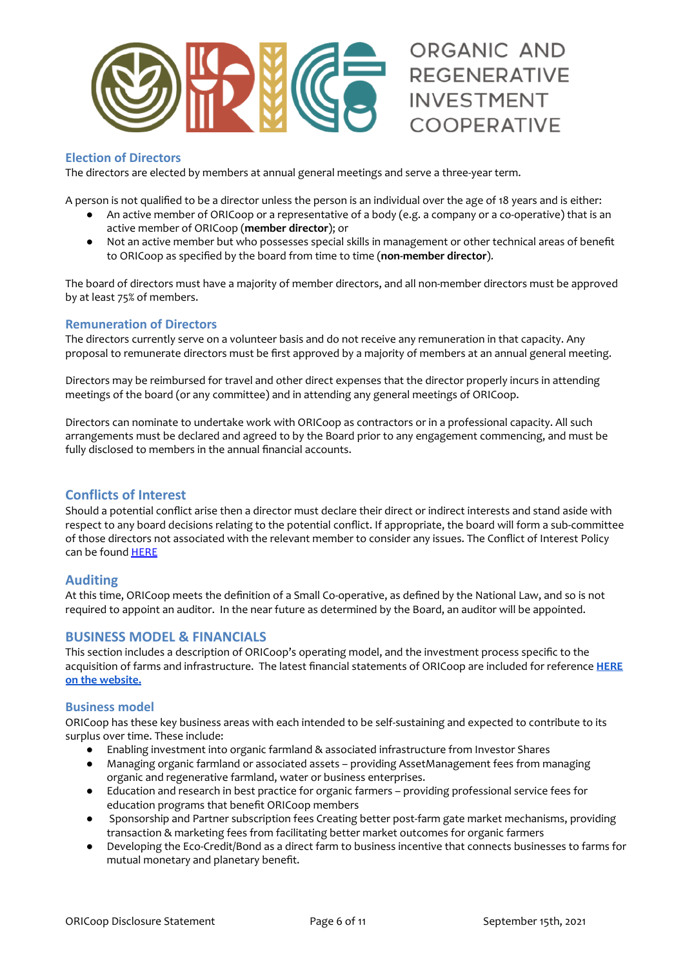

# **Election of Directors**

The directors are elected by members at annual general meetings and serve a three-year term.

A person is not qualified to be a director unless the person is an individual over the age of 18 years and is either:

- An active member of ORICoop or a representative of a body (e.g. a company or a co-operative) that is an active member of ORICoop (**member director**); or
- Not an active member but who possesses special skills in management or other technical areas of benefit to ORICoop as specified by the board from time to time (**non-member director**).

The board of directors must have a majority of member directors, and all non-member directors must be approved by at least 75% of members.

#### **Remuneration of Directors**

The directors currently serve on a volunteer basis and do not receive any remuneration in that capacity. Any proposal to remunerate directors must be first approved by a majority of members at an annual general meeting.

Directors may be reimbursed for travel and other direct expenses that the director properly incurs in attending meetings of the board (or any committee) and in attending any general meetings of ORICoop.

Directors can nominate to undertake work with ORICoop as contractors or in a professional capacity. All such arrangements must be declared and agreed to by the Board prior to any engagement commencing, and must be fully disclosed to members in the annual financial accounts.

# **Conflicts of Interest**

Should a potential conflict arise then a director must declare their direct or indirect interests and stand aside with respect to any board decisions relating to the potential conflict. If appropriate, the board will form a sub-committee of those directors not associated with the relevant member to consider any issues. The Conflict of Interest Policy can be found [HERE](https://drive.google.com/open?id=1rYjfZACbIkM6_cmoN6hCVpAX8fx5rmEH)

# **Auditing**

At this time, ORICoop meets the definition of a Small Co-operative, as defined by the National Law, and so is not required to appoint an auditor. In the near future as determined by the Board, an auditor will be appointed.

# **BUSINESS MODEL & FINANCIALS**

This section includes a description of ORICoop's operating model, and the investment process specific to the acquisition of farms and infrastructure. The latest financial statements of ORICoop are included for reference **[HERE](https://www.organicinvestmentcooperative.com.au/) on the [website.](https://www.organicinvestmentcooperative.com.au/)**

#### **Business model**

ORICoop has these key business areas with each intended to be self-sustaining and expected to contribute to its surplus over time. These include:

- Enabling investment into organic farmland & associated infrastructure from Investor Shares
- Managing organic farmland or associated assets providing AssetManagement fees from managing organic and regenerative farmland, water or business enterprises.
- Education and research in best practice for organic farmers providing professional service fees for education programs that benefit ORICoop members
- Sponsorship and Partner subscription fees Creating better post-farm gate market mechanisms, providing transaction & marketing fees from facilitating better market outcomes for organic farmers
- Developing the Eco-Credit/Bond as a direct farm to business incentive that connects businesses to farms for mutual monetary and planetary benefit.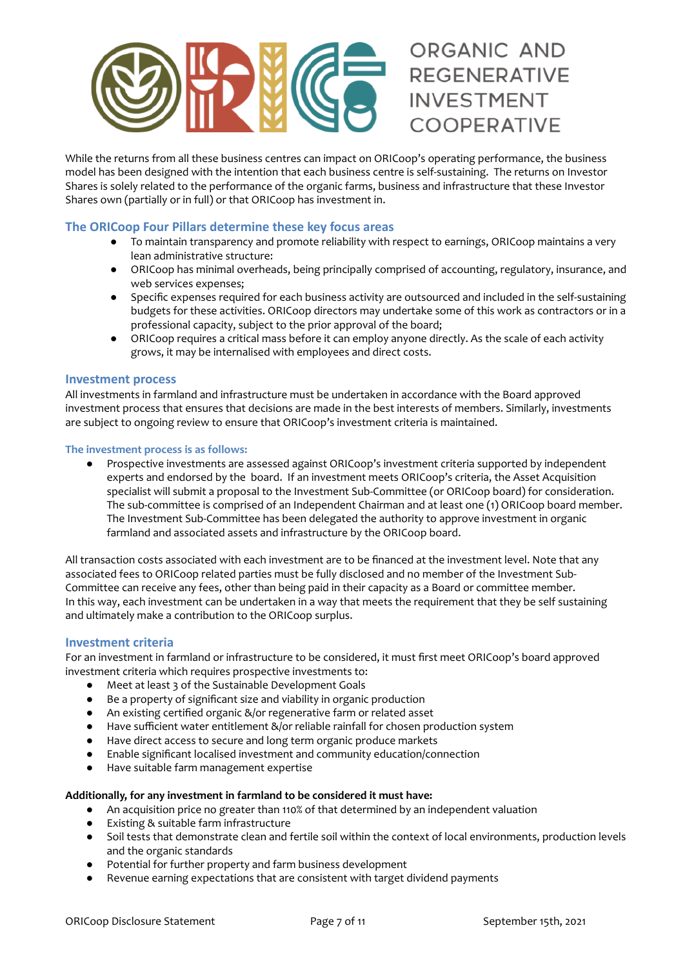

While the returns from all these business centres can impact on ORICoop's operating performance, the business model has been designed with the intention that each business centre is self-sustaining. The returns on Investor Shares is solely related to the performance of the organic farms, business and infrastructure that these Investor Shares own (partially or in full) or that ORICoop has investment in.

# **The ORICoop Four Pillars determine these key focus areas**

- To maintain transparency and promote reliability with respect to earnings, ORICoop maintains a very lean administrative structure:
- ORICoop has minimal overheads, being principally comprised of accounting, regulatory, insurance, and web services expenses;
- Specific expenses required for each business activity are outsourced and included in the self-sustaining budgets for these activities. ORICoop directors may undertake some of this work as contractors or in a professional capacity, subject to the prior approval of the board;
- ORICoop requires a critical mass before it can employ anyone directly. As the scale of each activity grows, it may be internalised with employees and direct costs.

# **Investment process**

All investments in farmland and infrastructure must be undertaken in accordance with the Board approved investment process that ensures that decisions are made in the best interests of members. Similarly, investments are subject to ongoing review to ensure that ORICoop's investment criteria is maintained.

#### **The investment process is as follows:**

● Prospective investments are assessed against ORICoop's investment criteria supported by independent experts and endorsed by the board. If an investment meets ORICoop's criteria, the Asset Acquisition specialist will submit a proposal to the Investment Sub-Committee (or ORICoop board) for consideration. The sub-committee is comprised of an Independent Chairman and at least one (1) ORICoop board member. The Investment Sub-Committee has been delegated the authority to approve investment in organic farmland and associated assets and infrastructure by the ORICoop board.

All transaction costs associated with each investment are to be financed at the investment level. Note that any associated fees to ORICoop related parties must be fully disclosed and no member of the Investment Sub-Committee can receive any fees, other than being paid in their capacity as a Board or committee member. In this way, each investment can be undertaken in a way that meets the requirement that they be self sustaining and ultimately make a contribution to the ORICoop surplus.

#### **Investment criteria**

For an investment in farmland or infrastructure to be considered, it must first meet ORICoop's board approved investment criteria which requires prospective investments to:

- Meet at least 3 of the Sustainable Development Goals
- Be a property of significant size and viability in organic production
- An existing certified organic &/or regenerative farm or related asset
- Have sufficient water entitlement &/or reliable rainfall for chosen production system
- Have direct access to secure and long term organic produce markets
- Enable significant localised investment and community education/connection
- Have suitable farm management expertise

#### **Additionally, for any investment in farmland to be considered it must have:**

- An acquisition price no greater than 110% of that determined by an independent valuation
- Existing & suitable farm infrastructure
- Soil tests that demonstrate clean and fertile soil within the context of local environments, production levels and the organic standards
- Potential for further property and farm business development
- Revenue earning expectations that are consistent with target dividend payments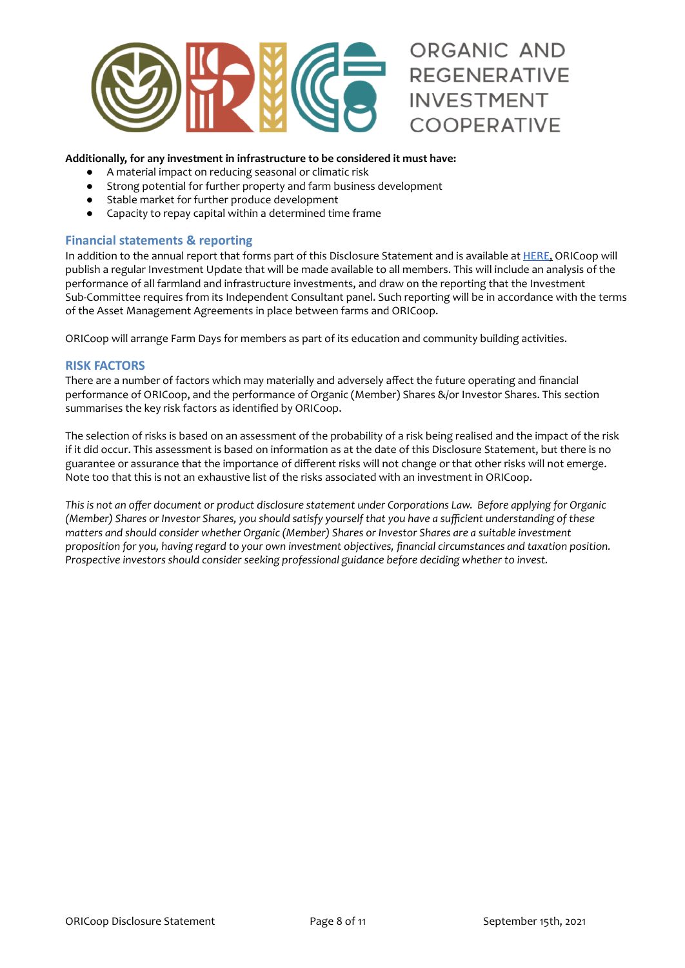

#### **Additionally, for any investment in infrastructure to be considered it must have:**

- A material impact on reducing seasonal or climatic risk
- Strong potential for further property and farm business development
- Stable market for further produce development
- Capacity to repay capital within a determined time frame

# **Financial statements & reporting**

In addition to the annual report that forms part of this Disclosure Statement and is available at [HERE](https://www.organicinvestmentcooperative.com.au/), ORICoop will publish a regular Investment Update that will be made available to all members. This will include an analysis of the performance of all farmland and infrastructure investments, and draw on the reporting that the Investment Sub-Committee requires from its Independent Consultant panel. Such reporting will be in accordance with the terms of the Asset Management Agreements in place between farms and ORICoop.

ORICoop will arrange Farm Days for members as part of its education and community building activities.

# **RISK FACTORS**

There are a number of factors which may materially and adversely affect the future operating and financial performance of ORICoop, and the performance of Organic (Member) Shares &/or Investor Shares. This section summarises the key risk factors as identified by ORICoop.

The selection of risks is based on an assessment of the probability of a risk being realised and the impact of the risk if it did occur. This assessment is based on information as at the date of this Disclosure Statement, but there is no guarantee or assurance that the importance of different risks will not change or that other risks will not emerge. Note too that this is not an exhaustive list of the risks associated with an investment in ORICoop.

This is not an offer document or product disclosure statement under Corporations Law. Before applying for Organic (Member) Shares or Investor Shares, you should satisfy yourself that you have a sufficient understanding of these *matters and should consider whether Organic (Member) Shares or Investor Shares are a suitable investment proposition for you, having regard to your own investment objectives, financial circumstances and taxation position. Prospective investors should consider seeking professional guidance before deciding whether to invest.*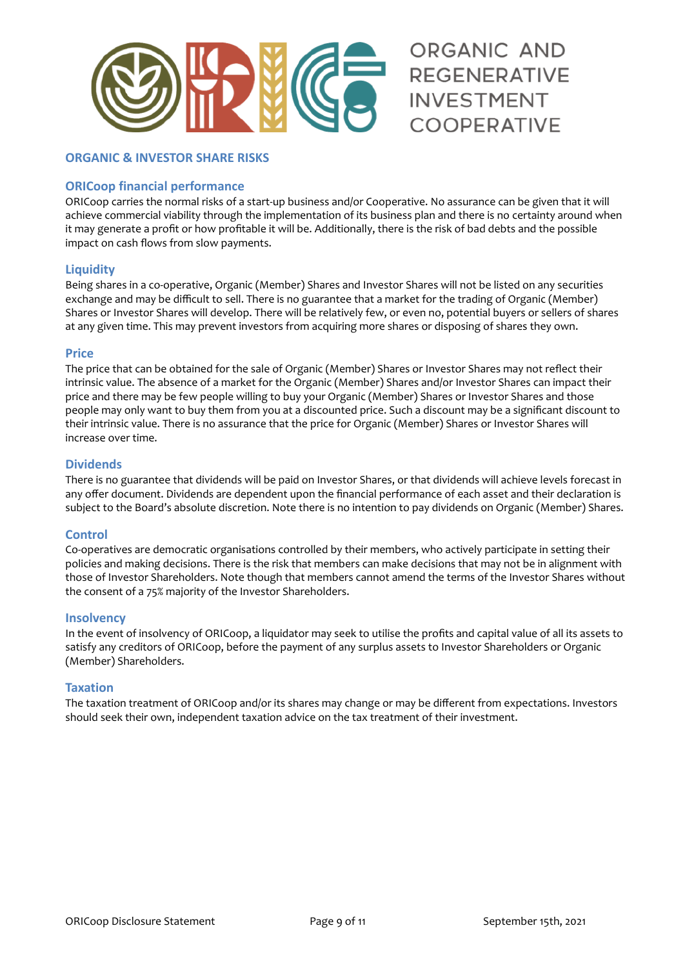

# **ORGANIC & INVESTOR SHARE RISKS**

# **ORICoop financial performance**

ORICoop carries the normal risks of a start-up business and/or Cooperative. No assurance can be given that it will achieve commercial viability through the implementation of its business plan and there is no certainty around when it may generate a profit or how profitable it will be. Additionally, there is the risk of bad debts and the possible impact on cash flows from slow payments.

# **Liquidity**

Being shares in a co-operative, Organic (Member) Shares and Investor Shares will not be listed on any securities exchange and may be difficult to sell. There is no guarantee that a market for the trading of Organic (Member) Shares or Investor Shares will develop. There will be relatively few, or even no, potential buyers or sellers of shares at any given time. This may prevent investors from acquiring more shares or disposing of shares they own.

#### **Price**

The price that can be obtained for the sale of Organic (Member) Shares or Investor Shares may not reflect their intrinsic value. The absence of a market for the Organic (Member) Shares and/or Investor Shares can impact their price and there may be few people willing to buy your Organic (Member) Shares or Investor Shares and those people may only want to buy them from you at a discounted price. Such a discount may be a significant discount to their intrinsic value. There is no assurance that the price for Organic (Member) Shares or Investor Shares will increase over time.

# **Dividends**

There is no guarantee that dividends will be paid on Investor Shares, or that dividends will achieve levels forecast in any offer document. Dividends are dependent upon the financial performance of each asset and their declaration is subject to the Board's absolute discretion. Note there is no intention to pay dividends on Organic (Member) Shares.

# **Control**

Co-operatives are democratic organisations controlled by their members, who actively participate in setting their policies and making decisions. There is the risk that members can make decisions that may not be in alignment with those of Investor Shareholders. Note though that members cannot amend the terms of the Investor Shares without the consent of a 75% majority of the Investor Shareholders.

#### **Insolvency**

In the event of insolvency of ORICoop, a liquidator may seek to utilise the profits and capital value of all its assets to satisfy any creditors of ORICoop, before the payment of any surplus assets to Investor Shareholders or Organic (Member) Shareholders.

#### **Taxation**

The taxation treatment of ORICoop and/or its shares may change or may be different from expectations. Investors should seek their own, independent taxation advice on the tax treatment of their investment.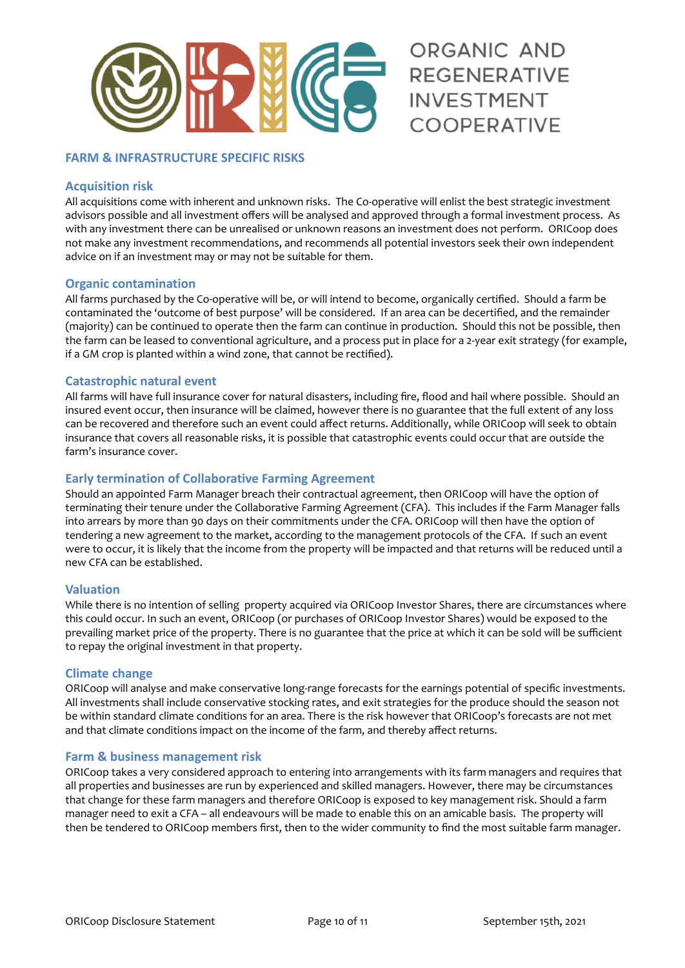

# **FARM & INFRASTRUCTURE SPECIFIC RISKS**

#### **Acquisition risk**

All acquisitions come with inherent and unknown risks. The Co-operative will enlist the best strategic investment advisors possible and all investment offers will be analysed and approved through a formal investment process. As with any investment there can be unrealised or unknown reasons an investment does not perform. ORICoop does not make any investment recommendations, and recommends all potential investors seek their own independent advice on if an investment may or may not be suitable for them.

# **Organic contamination**

All farms purchased by the Co-operative will be, or will intend to become, organically certified. Should a farm be contaminated the 'outcome of best purpose' will be considered. If an area can be decertified, and the remainder (majority) can be continued to operate then the farm can continue in production. Should this not be possible, then the farm can be leased to conventional agriculture, and a process put in place for a 2-year exit strategy (for example, if a GM crop is planted within a wind zone, that cannot be rectified).

# **Catastrophic natural event**

All farms will have full insurance cover for natural disasters, including fire, flood and hail where possible. Should an insured event occur, then insurance will be claimed, however there is no guarantee that the full extent of any loss can be recovered and therefore such an event could affect returns. Additionally, while ORICoop will seek to obtain insurance that covers all reasonable risks, it is possible that catastrophic events could occur that are outside the farm's insurance cover.

# **Early termination of Collaborative Farming Agreement**

Should an appointed Farm Manager breach their contractual agreement, then ORICoop will have the option of terminating their tenure under the Collaborative Farming Agreement (CFA). This includes if the Farm Manager falls into arrears by more than 90 days on their commitments under the CFA. ORICoop will then have the option of tendering a new agreement to the market, according to the management protocols of the CFA. If such an event were to occur, it is likely that the income from the property will be impacted and that returns will be reduced until a new CFA can be established.

#### **Valuation**

While there is no intention of selling property acquired via ORICoop Investor Shares, there are circumstances where this could occur. In such an event, ORICoop (or purchases of ORICoop Investor Shares) would be exposed to the prevailing market price of the property. There is no guarantee that the price at which it can be sold will be sufficient to repay the original investment in that property.

#### **Climate change**

ORICoop will analyse and make conservative long-range forecasts for the earnings potential of specific investments. All investments shall include conservative stocking rates, and exit strategies for the produce should the season not be within standard climate conditions for an area. There is the risk however that ORICoop's forecasts are not met and that climate conditions impact on the income of the farm, and thereby affect returns.

#### **Farm & business management risk**

ORICoop takes a very considered approach to entering into arrangements with its farm managers and requires that all properties and businesses are run by experienced and skilled managers. However, there may be circumstances that change for these farm managers and therefore ORICoop is exposed to key management risk. Should a farm manager need to exit a CFA – all endeavours will be made to enable this on an amicable basis. The property will then be tendered to ORICoop members first, then to the wider community to find the most suitable farm manager.